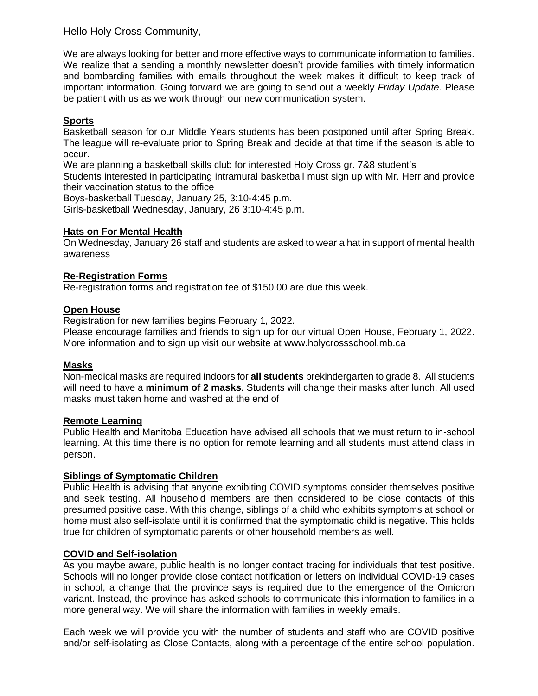Hello Holy Cross Community,

We are always looking for better and more effective ways to communicate information to families. We realize that a sending a monthly newsletter doesn't provide families with timely information and bombarding families with emails throughout the week makes it difficult to keep track of important information. Going forward we are going to send out a weekly *Friday Update*. Please be patient with us as we work through our new communication system.

# **Sports**

Basketball season for our Middle Years students has been postponed until after Spring Break. The league will re-evaluate prior to Spring Break and decide at that time if the season is able to occur.

We are planning a basketball skills club for interested Holy Cross gr. 7&8 student's

Students interested in participating intramural basketball must sign up with Mr. Herr and provide their vaccination status to the office

Boys-basketball Tuesday, January 25, 3:10-4:45 p.m.

Girls-basketball Wednesday, January, 26 3:10-4:45 p.m.

### **Hats on For Mental Health**

On Wednesday, January 26 staff and students are asked to wear a hat in support of mental health awareness

### **Re-Registration Forms**

Re-registration forms and registration fee of \$150.00 are due this week.

## **Open House**

Registration for new families begins February 1, 2022.

Please encourage families and friends to sign up for our virtual Open House, February 1, 2022. More information and to sign up visit our website at [www.holycrossschool.mb.ca](http://www.holycrossschool.mb.ca/)

#### **Masks**

Non-medical masks are required indoors for **all students** prekindergarten to grade 8. All students will need to have a **minimum of 2 masks**. Students will change their masks after lunch. All used masks must taken home and washed at the end of

#### **Remote Learning**

Public Health and Manitoba Education have advised all schools that we must return to in-school learning. At this time there is no option for remote learning and all students must attend class in person.

## **Siblings of Symptomatic Children**

Public Health is advising that anyone exhibiting COVID symptoms consider themselves positive and seek testing. All household members are then considered to be close contacts of this presumed positive case. With this change, siblings of a child who exhibits symptoms at school or home must also self-isolate until it is confirmed that the symptomatic child is negative. This holds true for children of symptomatic parents or other household members as well.

### **COVID and Self-isolation**

As you maybe aware, public health is no longer contact tracing for individuals that test positive. Schools will no longer provide close contact notification or letters on individual COVID-19 cases in school, a change that the province says is required due to the emergence of the Omicron variant. Instead, the province has asked schools to communicate this information to families in a more general way. We will share the information with families in weekly emails.

Each week we will provide you with the number of students and staff who are COVID positive and/or self-isolating as Close Contacts, along with a percentage of the entire school population.